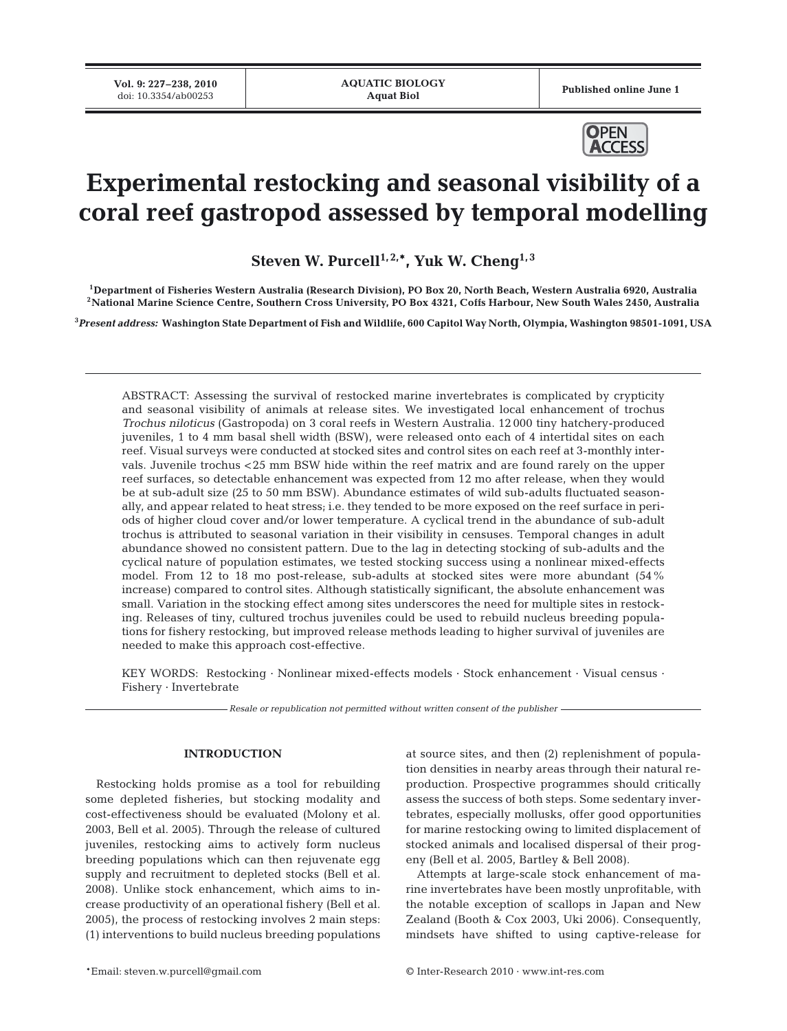Published online June 1



# **Experimental restocking and seasonal visibility of a coral reef gastropod assessed by temporal modelling**

Steven W. Purcell<sup>1, 2,\*</sup>, Yuk W. Cheng<sup>1,3</sup>

**1Department of Fisheries Western Australia (Research Division), PO Box 20, North Beach, Western Australia 6920, Australia 2National Marine Science Centre, Southern Cross University, PO Box 4321, Coffs Harbour, New South Wales 2450, Australia**

**3** *Present address:* **Washington State Department of Fish and Wildlife, 600 Capitol Way North, Olympia, Washington 98501-1091, USA**

ABSTRACT: Assessing the survival of restocked marine invertebrates is complicated by crypticity and seasonal visibility of animals at release sites. We investigated local enhancement of trochus *Trochus niloticus* (Gastropoda) on 3 coral reefs in Western Australia. 12 000 tiny hatchery-produced juveniles, 1 to 4 mm basal shell width (BSW), were released onto each of 4 intertidal sites on each reef. Visual surveys were conducted at stocked sites and control sites on each reef at 3-monthly intervals. Juvenile trochus <25 mm BSW hide within the reef matrix and are found rarely on the upper reef surfaces, so detectable enhancement was expected from 12 mo after release, when they would be at sub-adult size (25 to 50 mm BSW). Abundance estimates of wild sub-adults fluctuated seasonally, and appear related to heat stress; i.e. they tended to be more exposed on the reef surface in periods of higher cloud cover and/or lower temperature. A cyclical trend in the abundance of sub-adult trochus is attributed to seasonal variation in their visibility in censuses. Temporal changes in adult abundance showed no consistent pattern. Due to the lag in detecting stocking of sub-adults and the cyclical nature of population estimates, we tested stocking success using a nonlinear mixed-effects model. From 12 to 18 mo post-release, sub-adults at stocked sites were more abundant (54% increase) compared to control sites. Although statistically significant, the absolute enhancement was small. Variation in the stocking effect among sites underscores the need for multiple sites in restocking. Releases of tiny, cultured trochus juveniles could be used to rebuild nucleus breeding populations for fishery restocking, but improved release methods leading to higher survival of juveniles are needed to make this approach cost-effective.

KEY WORDS: Restocking · Nonlinear mixed-effects models · Stock enhancement · Visual census · Fishery · Invertebrate

*Resale or republication not permitted without written consent of the publisher*

## **INTRODUCTION**

Restocking holds promise as a tool for rebuilding some depleted fisheries, but stocking modality and cost-effectiveness should be evaluated (Molony et al. 2003, Bell et al. 2005). Through the release of cultured juveniles, restocking aims to actively form nucleus breeding populations which can then rejuvenate egg supply and recruitment to depleted stocks (Bell et al. 2008). Unlike stock enhancement, which aims to increase productivity of an operational fishery (Bell et al. 2005), the process of restocking involves 2 main steps: (1) interventions to build nucleus breeding populations

at source sites, and then (2) replenishment of population densities in nearby areas through their natural reproduction. Prospective programmes should critically assess the success of both steps. Some sedentary invertebrates, especially mollusks, offer good opportunities for marine restocking owing to limited displacement of stocked animals and localised dispersal of their progeny (Bell et al. 2005, Bartley & Bell 2008).

Attempts at large-scale stock enhancement of marine invertebrates have been mostly unprofitable, with the notable exception of scallops in Japan and New Zealand (Booth & Cox 2003, Uki 2006). Consequently, mindsets have shifted to using captive-release for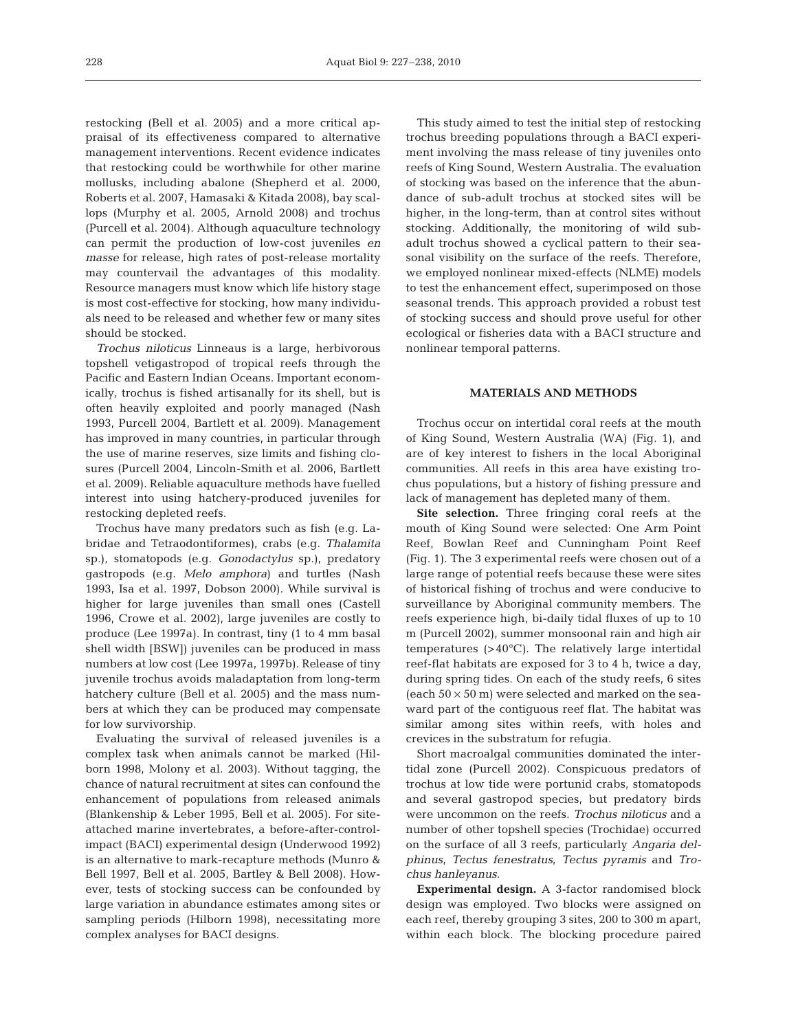restocking (Bell et al. 2005) and a more critical appraisal of its effectiveness compared to alternative management interventions. Recent evidence indicates that restocking could be worthwhile for other marine mollusks, including abalone (Shepherd et al. 2000, Roberts et al. 2007, Hamasaki & Kitada 2008), bay scallops (Murphy et al. 2005, Arnold 2008) and trochus (Purcell et al. 2004). Although aquaculture technology can permit the production of low-cost juveniles *en masse* for release, high rates of post-release mortality may countervail the advantages of this modality. Resource managers must know which life history stage is most cost-effective for stocking, how many individuals need to be released and whether few or many sites should be stocked.

*Trochus niloticus* Linneaus is a large, herbivorous topshell vetigastropod of tropical reefs through the Pacific and Eastern Indian Oceans. Important economically, trochus is fished artisanally for its shell, but is often heavily exploited and poorly managed (Nash 1993, Purcell 2004, Bartlett et al. 2009). Management has improved in many countries, in particular through the use of marine reserves, size limits and fishing closures (Purcell 2004, Lincoln-Smith et al. 2006, Bartlett et al. 2009). Reliable aquaculture methods have fuelled interest into using hatchery-produced juveniles for restocking depleted reefs.

Trochus have many predators such as fish (e.g. Labridae and Tetraodontiformes), crabs (e.g. *Thalamita* sp.), stomatopods (e.g. *Gonodactylus* sp.), predatory gastropods (e.g. *Melo amphora*) and turtles (Nash 1993, Isa et al. 1997, Dobson 2000). While survival is higher for large juveniles than small ones (Castell 1996, Crowe et al. 2002), large juveniles are costly to produce (Lee 1997a). In contrast, tiny (1 to 4 mm basal shell width [BSW]) juveniles can be produced in mass numbers at low cost (Lee 1997a, 1997b). Release of tiny juvenile trochus avoids maladaptation from long-term hatchery culture (Bell et al. 2005) and the mass numbers at which they can be produced may compensate for low survivorship.

Evaluating the survival of released juveniles is a complex task when animals cannot be marked (Hilborn 1998, Molony et al. 2003). Without tagging, the chance of natural recruitment at sites can confound the enhancement of populations from released animals (Blankenship & Leber 1995, Bell et al. 2005). For siteattached marine invertebrates, a before-after-controlimpact (BACI) experimental design (Underwood 1992) is an alternative to mark-recapture methods (Munro & Bell 1997, Bell et al. 2005, Bartley & Bell 2008). However, tests of stocking success can be confounded by large variation in abundance estimates among sites or sampling periods (Hilborn 1998), necessitating more complex analyses for BACI designs.

This study aimed to test the initial step of restocking trochus breeding populations through a BACI experiment involving the mass release of tiny juveniles onto reefs of King Sound, Western Australia. The evaluation of stocking was based on the inference that the abundance of sub-adult trochus at stocked sites will be higher, in the long-term, than at control sites without stocking. Additionally, the monitoring of wild subadult trochus showed a cyclical pattern to their seasonal visibility on the surface of the reefs. Therefore, we employed nonlinear mixed-effects (NLME) models to test the enhancement effect, superimposed on those seasonal trends. This approach provided a robust test of stocking success and should prove useful for other ecological or fisheries data with a BACI structure and nonlinear temporal patterns.

## **MATERIALS AND METHODS**

Trochus occur on intertidal coral reefs at the mouth of King Sound, Western Australia (WA) (Fig. 1), and are of key interest to fishers in the local Aboriginal communities. All reefs in this area have existing trochus populations, but a history of fishing pressure and lack of management has depleted many of them.

**Site selection.** Three fringing coral reefs at the mouth of King Sound were selected: One Arm Point Reef, Bowlan Reef and Cunningham Point Reef (Fig. 1). The 3 experimental reefs were chosen out of a large range of potential reefs because these were sites of historical fishing of trochus and were conducive to surveillance by Aboriginal community members. The reefs experience high, bi-daily tidal fluxes of up to 10 m (Purcell 2002), summer monsoonal rain and high air temperatures (>40°C). The relatively large intertidal reef-flat habitats are exposed for 3 to 4 h, twice a day, during spring tides. On each of the study reefs, 6 sites (each  $50 \times 50$  m) were selected and marked on the seaward part of the contiguous reef flat. The habitat was similar among sites within reefs, with holes and crevices in the substratum for refugia.

Short macroalgal communities dominated the intertidal zone (Purcell 2002). Conspicuous predators of trochus at low tide were portunid crabs, stomatopods and several gastropod species, but predatory birds were uncommon on the reefs. *Trochus niloticus* and a number of other topshell species (Trochidae) occurred on the surface of all 3 reefs, particularly *Angaria delphinus*, *Tectus fenestratus*, *Tectus pyramis* and *Trochus hanleyanus*.

**Experimental design.** A 3-factor randomised block design was employed. Two blocks were assigned on each reef, thereby grouping 3 sites, 200 to 300 m apart, within each block. The blocking procedure paired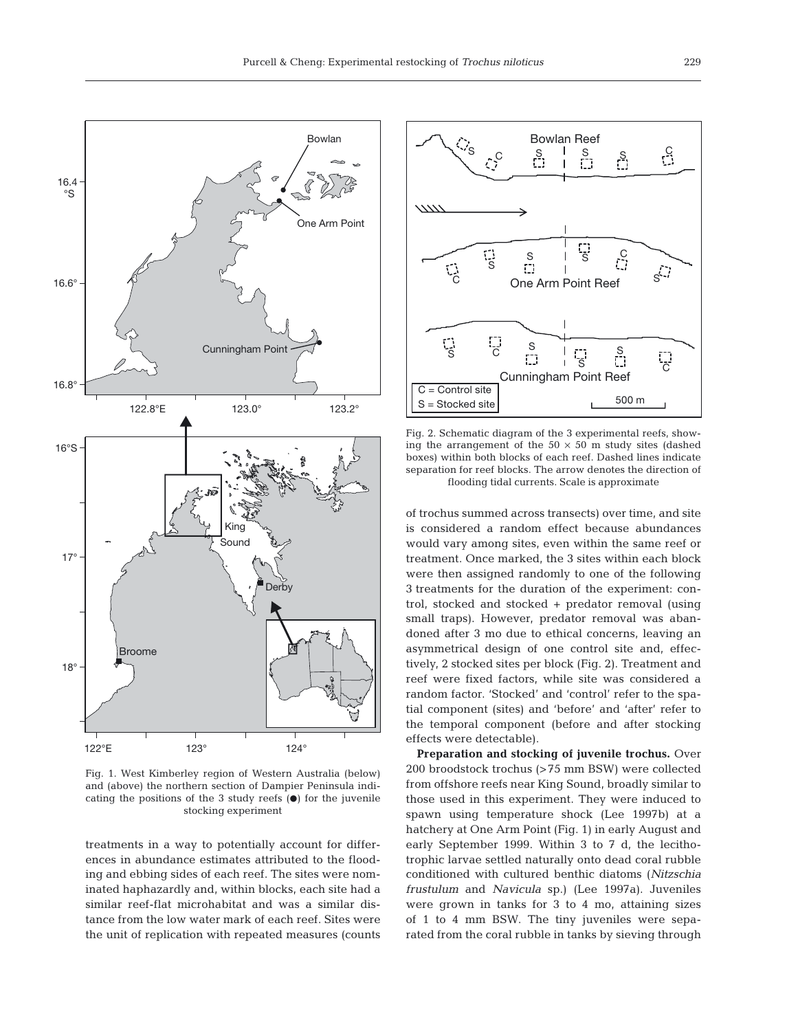

Fig. 1. West Kimberley region of Western Australia (below) and (above) the northern section of Dampier Peninsula indicating the positions of the 3 study reefs  $(\bullet)$  for the juvenile stocking experiment

treatments in a way to potentially account for differences in abundance estimates attributed to the flooding and ebbing sides of each reef. The sites were nominated haphazardly and, within blocks, each site had a similar reef-flat microhabitat and was a similar distance from the low water mark of each reef. Sites were the unit of replication with repeated measures (counts



Fig. 2. Schematic diagram of the 3 experimental reefs, showing the arrangement of the  $50 \times 50$  m study sites (dashed boxes) within both blocks of each reef. Dashed lines indicate separation for reef blocks. The arrow denotes the direction of flooding tidal currents. Scale is approximate

of trochus summed across transects) over time, and site is considered a random effect because abundances would vary among sites, even within the same reef or treatment. Once marked, the 3 sites within each block were then assigned randomly to one of the following 3 treatments for the duration of the experiment: control, stocked and stocked + predator removal (using small traps). However, predator removal was abandoned after 3 mo due to ethical concerns, leaving an asymmetrical design of one control site and, effectively, 2 stocked sites per block (Fig. 2). Treatment and reef were fixed factors, while site was considered a random factor. 'Stocked' and 'control' refer to the spatial component (sites) and 'before' and 'after' refer to the temporal component (before and after stocking effects were detectable).

**Preparation and stocking of juvenile trochus.** Over 200 broodstock trochus (>75 mm BSW) were collected from offshore reefs near King Sound, broadly similar to those used in this experiment. They were induced to spawn using temperature shock (Lee 1997b) at a hatchery at One Arm Point (Fig. 1) in early August and early September 1999. Within 3 to 7 d, the lecithotrophic larvae settled naturally onto dead coral rubble conditioned with cultured benthic diatoms (*Nitzschia frustulum* and *Navicula* sp.) (Lee 1997a). Juveniles were grown in tanks for 3 to 4 mo, attaining sizes of 1 to 4 mm BSW. The tiny juveniles were separated from the coral rubble in tanks by sieving through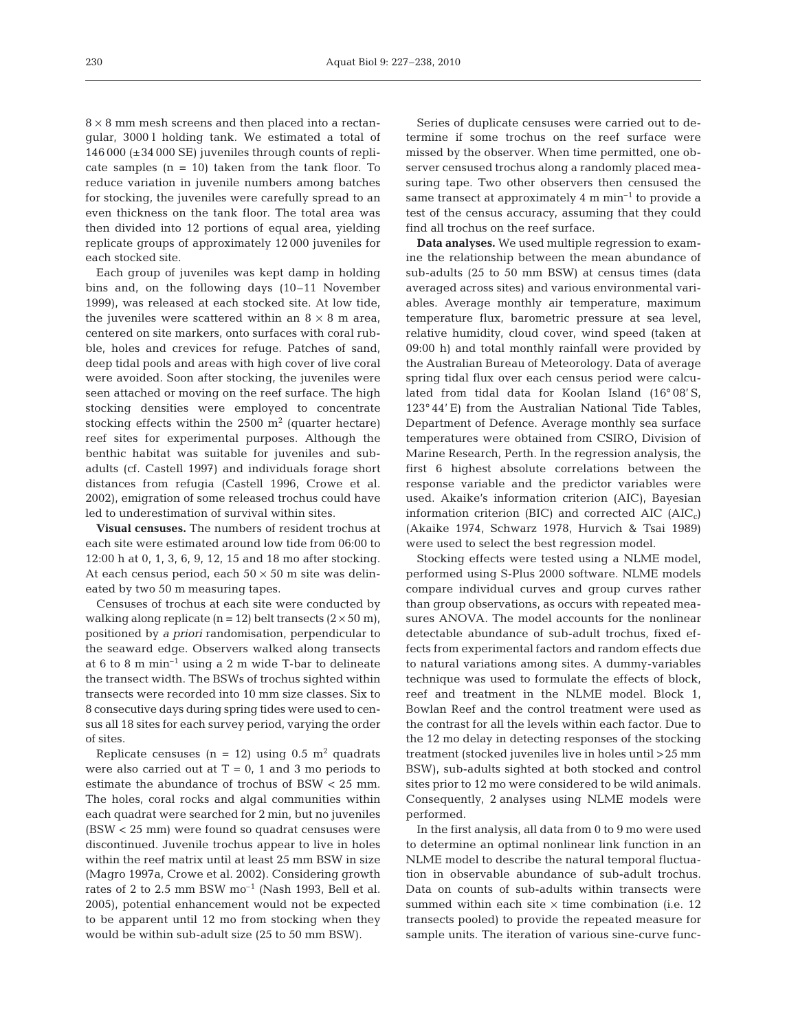$8 \times 8$  mm mesh screens and then placed into a rectangular, 3000 l holding tank. We estimated a total of 146 000 (±34 000 SE) juveniles through counts of replicate samples  $(n = 10)$  taken from the tank floor. To reduce variation in juvenile numbers among batches for stocking, the juveniles were carefully spread to an even thickness on the tank floor. The total area was then divided into 12 portions of equal area, yielding replicate groups of approximately 12 000 juveniles for each stocked site.

Each group of juveniles was kept damp in holding bins and, on the following days (10–11 November 1999), was released at each stocked site. At low tide, the juveniles were scattered within an  $8 \times 8$  m area, centered on site markers, onto surfaces with coral rubble, holes and crevices for refuge. Patches of sand, deep tidal pools and areas with high cover of live coral were avoided. Soon after stocking, the juveniles were seen attached or moving on the reef surface. The high stocking densities were employed to concentrate stocking effects within the  $2500 \text{ m}^2$  (quarter hectare) reef sites for experimental purposes. Although the benthic habitat was suitable for juveniles and subadults (cf. Castell 1997) and individuals forage short distances from refugia (Castell 1996, Crowe et al. 2002), emigration of some released trochus could have led to underestimation of survival within sites.

**Visual censuses.** The numbers of resident trochus at each site were estimated around low tide from 06:00 to 12:00 h at 0, 1, 3, 6, 9, 12, 15 and 18 mo after stocking. At each census period, each  $50 \times 50$  m site was delineated by two 50 m measuring tapes.

Censuses of trochus at each site were conducted by walking along replicate ( $n = 12$ ) belt transects ( $2 \times 50$  m), positioned by *a priori* randomisation, perpendicular to the seaward edge. Observers walked along transects at 6 to 8 m min–1 using a 2 m wide T-bar to delineate the transect width. The BSWs of trochus sighted within transects were recorded into 10 mm size classes. Six to 8 consecutive days during spring tides were used to census all 18 sites for each survey period, varying the order of sites.

Replicate censuses ( $n = 12$ ) using 0.5 m<sup>2</sup> quadrats were also carried out at  $T = 0$ , 1 and 3 mo periods to estimate the abundance of trochus of BSW < 25 mm. The holes, coral rocks and algal communities within each quadrat were searched for 2 min, but no juveniles (BSW < 25 mm) were found so quadrat censuses were discontinued. Juvenile trochus appear to live in holes within the reef matrix until at least 25 mm BSW in size (Magro 1997a, Crowe et al. 2002). Considering growth rates of 2 to 2.5 mm BSW  $\mathrm{mo}^{-1}$  (Nash 1993, Bell et al. 2005), potential enhancement would not be expected to be apparent until 12 mo from stocking when they would be within sub-adult size (25 to 50 mm BSW).

Series of duplicate censuses were carried out to determine if some trochus on the reef surface were missed by the observer. When time permitted, one observer censused trochus along a randomly placed measuring tape. Two other observers then censused the same transect at approximately 4  $m$   $min^{-1}$  to provide a test of the census accuracy, assuming that they could find all trochus on the reef surface.

**Data analyses.** We used multiple regression to examine the relationship between the mean abundance of sub-adults (25 to 50 mm BSW) at census times (data averaged across sites) and various environmental variables. Average monthly air temperature, maximum temperature flux, barometric pressure at sea level, relative humidity, cloud cover, wind speed (taken at 09:00 h) and total monthly rainfall were provided by the Australian Bureau of Meteorology. Data of average spring tidal flux over each census period were calculated from tidal data for Koolan Island (16° 08' S, 123° 44' E) from the Australian National Tide Tables, Department of Defence. Average monthly sea surface temperatures were obtained from CSIRO, Division of Marine Research, Perth. In the regression analysis, the first 6 highest absolute correlations between the response variable and the predictor variables were used. Akaike's information criterion (AIC), Bayesian information criterion (BIC) and corrected  $AIC$  (AIC<sub>c</sub>) (Akaike 1974, Schwarz 1978, Hurvich & Tsai 1989) were used to select the best regression model.

Stocking effects were tested using a NLME model, performed using S-Plus 2000 software. NLME models compare individual curves and group curves rather than group observations, as occurs with repeated measures ANOVA. The model accounts for the nonlinear detectable abundance of sub-adult trochus, fixed effects from experimental factors and random effects due to natural variations among sites. A dummy-variables technique was used to formulate the effects of block, reef and treatment in the NLME model. Block 1, Bowlan Reef and the control treatment were used as the contrast for all the levels within each factor. Due to the 12 mo delay in detecting responses of the stocking treatment (stocked juveniles live in holes until >25 mm BSW), sub-adults sighted at both stocked and control sites prior to 12 mo were considered to be wild animals. Consequently, 2 analyses using NLME models were performed.

In the first analysis, all data from 0 to 9 mo were used to determine an optimal nonlinear link function in an NLME model to describe the natural temporal fluctuation in observable abundance of sub-adult trochus. Data on counts of sub-adults within transects were summed within each site  $\times$  time combination (i.e. 12 transects pooled) to provide the repeated measure for sample units. The iteration of various sine-curve func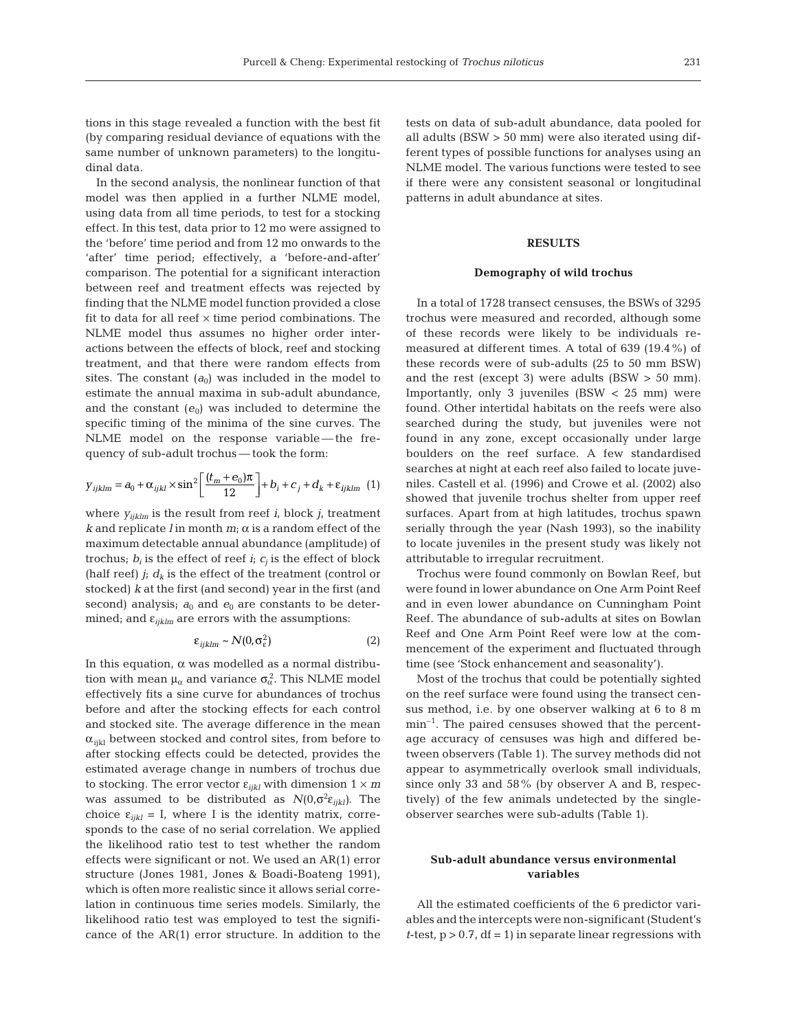tions in this stage revealed a function with the best fit (by comparing residual deviance of equations with the same number of unknown parameters) to the longitudinal data.

In the second analysis, the nonlinear function of that model was then applied in a further NLME model, using data from all time periods, to test for a stocking effect. In this test, data prior to 12 mo were assigned to the 'before' time period and from 12 mo onwards to the 'after' time period; effectively, a 'before-and-after' comparison. The potential for a significant interaction between reef and treatment effects was rejected by finding that the NLME model function provided a close fit to data for all reef  $\times$  time period combinations. The NLME model thus assumes no higher order interactions between the effects of block, reef and stocking treatment, and that there were random effects from sites. The constant  $(a_0)$  was included in the model to estimate the annual maxima in sub-adult abundance, and the constant  $(e_0)$  was included to determine the specific timing of the minima of the sine curves. The NLME model on the response variable—the frequency of sub-adult trochus — took the form:

$$
y_{ijklm} = a_0 + \alpha_{ijkl} \times \sin^2 \left[ \frac{(t_m + e_0)\pi}{12} \right] + b_i + c_j + d_k + \varepsilon_{ijklm} \tag{1}
$$

where *yijklm* is the result from reef *i*, block *j*, treatment  $k$  and replicate *l* in month  $m_i$ ;  $\alpha$  is a random effect of the maximum detectable annual abundance (amplitude) of trochus;  $b_i$  is the effect of reef  $i_i$ ;  $c_i$  is the effect of block (half reef)  $j_i$   $d_k$  is the effect of the treatment (control or stocked) *k* at the first (and second) year in the first (and second) analysis;  $a_0$  and  $e_0$  are constants to be determined; and  $\varepsilon_{iiklm}$  are errors with the assumptions:

$$
\varepsilon_{ijklm} \sim N(0, \sigma_{\varepsilon}^2)
$$
 (2)

In this equation,  $\alpha$  was modelled as a normal distribution with mean  $\mu_{\alpha}$  and variance  $\sigma_{\alpha}^2$ . This NLME model effectively fits a sine curve for abundances of trochus before and after the stocking effects for each control and stocked site. The average difference in the mean  $\alpha_{ijkl}$  between stocked and control sites, from before to after stocking effects could be detected, provides the estimated average change in numbers of trochus due to stocking. The error vector  $\varepsilon_{iikl}$  with dimension  $1 \times m$ was assumed to be distributed as  $N(0,σ^2ε_{ijkl})$ . The choice  $\varepsilon_{ijkl} = I$ , where I is the identity matrix, corresponds to the case of no serial correlation. We applied the likelihood ratio test to test whether the random effects were significant or not. We used an AR(1) error structure (Jones 1981, Jones & Boadi-Boateng 1991), which is often more realistic since it allows serial correlation in continuous time series models. Similarly, the likelihood ratio test was employed to test the significance of the AR(1) error structure. In addition to the tests on data of sub-adult abundance, data pooled for all adults (BSW > 50 mm) were also iterated using different types of possible functions for analyses using an NLME model. The various functions were tested to see if there were any consistent seasonal or longitudinal patterns in adult abundance at sites.

## **RESULTS**

## **Demography of wild trochus**

In a total of 1728 transect censuses, the BSWs of 3295 trochus were measured and recorded, although some of these records were likely to be individuals remeasured at different times. A total of 639 (19.4%) of these records were of sub-adults (25 to 50 mm BSW) and the rest (except 3) were adults (BSW  $>$  50 mm). Importantly, only 3 juveniles (BSW < 25 mm) were found. Other intertidal habitats on the reefs were also searched during the study, but juveniles were not found in any zone, except occasionally under large boulders on the reef surface. A few standardised searches at night at each reef also failed to locate juveniles. Castell et al. (1996) and Crowe et al. (2002) also showed that juvenile trochus shelter from upper reef surfaces. Apart from at high latitudes, trochus spawn serially through the year (Nash 1993), so the inability to locate juveniles in the present study was likely not attributable to irregular recruitment.

Trochus were found commonly on Bowlan Reef, but were found in lower abundance on One Arm Point Reef and in even lower abundance on Cunningham Point Reef. The abundance of sub-adults at sites on Bowlan Reef and One Arm Point Reef were low at the commencement of the experiment and fluctuated through time (see 'Stock enhancement and seasonality').

Most of the trochus that could be potentially sighted on the reef surface were found using the transect census method, i.e. by one observer walking at 6 to 8 m min<sup>-1</sup>. The paired censuses showed that the percentage accuracy of censuses was high and differed between observers (Table 1). The survey methods did not appear to asymmetrically overlook small individuals, since only 33 and 58% (by observer A and B, respectively) of the few animals undetected by the singleobserver searches were sub-adults (Table 1).

## **Sub-adult abundance versus environmental variables**

All the estimated coefficients of the 6 predictor variables and the intercepts were non-significant (Student's *t*-test,  $p > 0.7$ ,  $df = 1$ ) in separate linear regressions with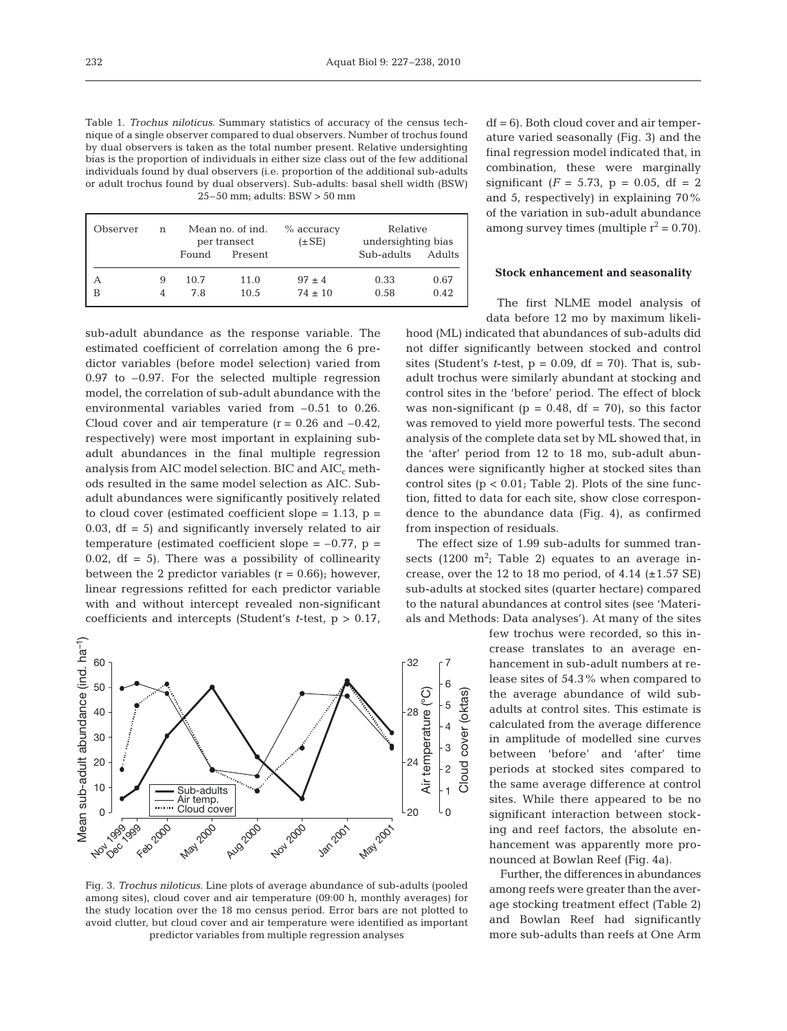Table 1. *Trochus niloticus*. Summary statistics of accuracy of the census technique of a single observer compared to dual observers. Number of trochus found by dual observers is taken as the total number present. Relative undersighting bias is the proportion of individuals in either size class out of the few additional individuals found by dual observers (i.e. proportion of the additional sub-adults or adult trochus found by dual observers). Sub-adults: basal shell width (BSW) 25–50 mm; adults: BSW > 50 mm

| Observer | n | Mean no. of ind.<br>per transect |         | $%$ accuracy<br>$(\pm SE)$ | Relative<br>undersighting bias |        |
|----------|---|----------------------------------|---------|----------------------------|--------------------------------|--------|
|          |   | Found                            | Present |                            | Sub-adults                     | Adults |
| А        | 9 | 10.7                             | 11.0    | $.97 \pm 4$                | 0.33                           | 0.67   |
| B        |   | 7.8                              | 10.5    | $74 \pm 10$                | 0.58                           | 0.42   |

sub-adult abundance as the response variable. The estimated coefficient of correlation among the 6 predictor variables (before model selection) varied from 0.97 to –0.97. For the selected multiple regression model, the correlation of sub-adult abundance with the environmental variables varied from –0.51 to 0.26. Cloud cover and air temperature  $(r = 0.26$  and  $-0.42$ , respectively) were most important in explaining subadult abundances in the final multiple regression analysis from AIC model selection. BIC and  $AIC<sub>c</sub>$  methods resulted in the same model selection as AIC. Subadult abundances were significantly positively related to cloud cover (estimated coefficient slope =  $1.13$ , p = 0.03,  $df = 5$ ) and significantly inversely related to air temperature (estimated coefficient slope =  $-0.77$ , p = 0.02,  $df = 5$ ). There was a possibility of collinearity between the 2 predictor variables  $(r = 0.66)$ ; however, linear regressions refitted for each predictor variable with and without intercept revealed non-significant coefficients and intercepts (Student's *t*-test, p > 0.17,



Fig. 3. *Trochus niloticus*. Line plots of average abundance of sub-adults (pooled among sites), cloud cover and air temperature (09:00 h, monthly averages) for the study location over the 18 mo census period. Error bars are not plotted to avoid clutter, but cloud cover and air temperature were identified as important predictor variables from multiple regression analyses

 $df = 6$ ). Both cloud cover and air temperature varied seasonally (Fig. 3) and the final regression model indicated that, in combination, these were marginally significant  $(F = 5.73, p = 0.05, df = 2)$ and 5, respectively) in explaining 70% of the variation in sub-adult abundance among survey times (multiple  $r^2 = 0.70$ ).

## **Stock enhancement and seasonality**

The first NLME model analysis of data before 12 mo by maximum likeli-

hood (ML) indicated that abundances of sub-adults did not differ significantly between stocked and control sites (Student's *t*-test,  $p = 0.09$ ,  $df = 70$ ). That is, subadult trochus were similarly abundant at stocking and control sites in the 'before' period. The effect of block was non-significant ( $p = 0.48$ , df = 70), so this factor was removed to yield more powerful tests. The second analysis of the complete data set by ML showed that, in the 'after' period from 12 to 18 mo, sub-adult abundances were significantly higher at stocked sites than control sites  $(p < 0.01$ ; Table 2). Plots of the sine function, fitted to data for each site, show close correspondence to the abundance data (Fig. 4), as confirmed from inspection of residuals.

The effect size of 1.99 sub-adults for summed transects  $(1200 \text{ m}^2)$ ; Table 2) equates to an average increase, over the 12 to 18 mo period, of 4.14  $(\pm 1.57 \text{ SE})$ sub-adults at stocked sites (quarter hectare) compared to the natural abundances at control sites (see 'Materials and Methods: Data analyses'). At many of the sites

few trochus were recorded, so this increase translates to an average enhancement in sub-adult numbers at release sites of 54.3% when compared to the average abundance of wild subadults at control sites. This estimate is calculated from the average difference in amplitude of modelled sine curves between 'before' and 'after' time periods at stocked sites compared to the same average difference at control sites. While there appeared to be no significant interaction between stocking and reef factors, the absolute enhancement was apparently more pronounced at Bowlan Reef (Fig. 4a).

Further, the differences in abundances among reefs were greater than the average stocking treatment effect (Table 2) and Bowlan Reef had significantly more sub-adults than reefs at One Arm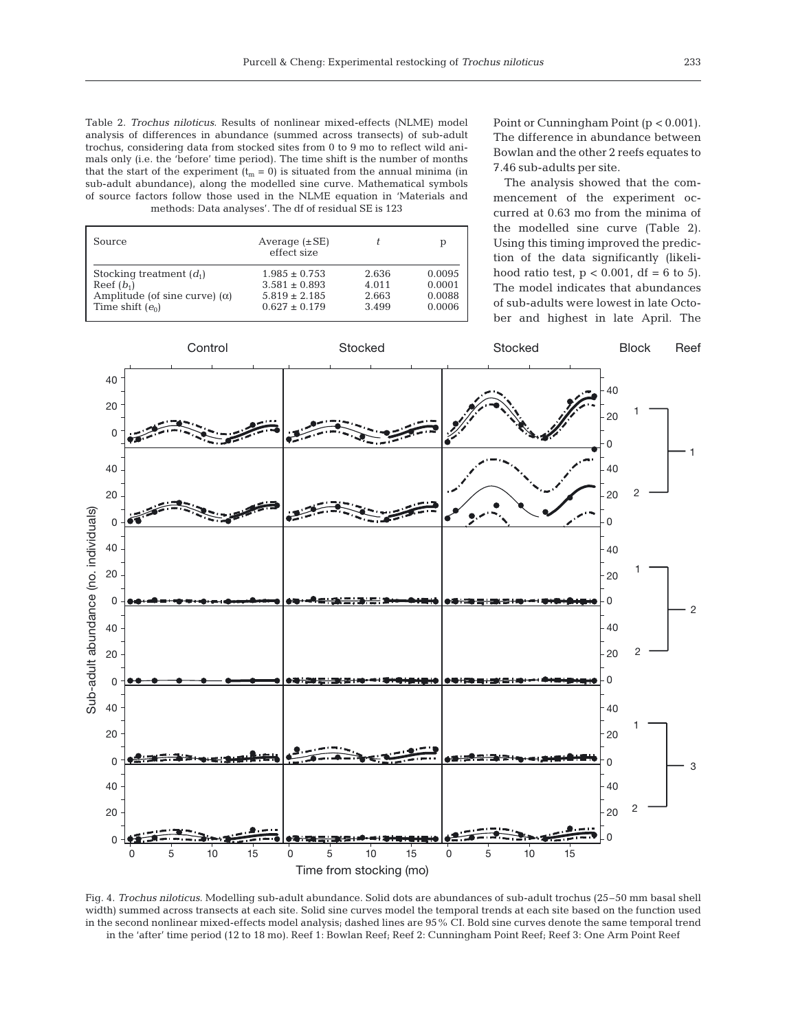Table 2. *Trochus niloticus*. Results of nonlinear mixed-effects (NLME) model analysis of differences in abundance (summed across transects) of sub-adult trochus, considering data from stocked sites from 0 to 9 mo to reflect wild animals only (i.e. the 'before' time period). The time shift is the number of months that the start of the experiment ( $t_m = 0$ ) is situated from the annual minima (in sub-adult abundance), along the modelled sine curve. Mathematical symbols of source factors follow those used in the NLME equation in 'Materials and methods: Data analyses'. The df of residual SE is 123

| Source                               | Average $(\pm SE)$<br>effect size |       | р      |
|--------------------------------------|-----------------------------------|-------|--------|
| Stocking treatment $(d_1)$           | $1.985 \pm 0.753$                 | 2.636 | 0.0095 |
| Reef $(b_1)$                         | $3.581 \pm 0.893$                 | 4.011 | 0.0001 |
| Amplitude (of sine curve) $(\alpha)$ | $5.819 \pm 2.185$                 | 2.663 | 0.0088 |
| Time shift $(e_0)$                   | $0.627 \pm 0.179$                 | 3.499 | 0.0006 |

Point or Cunningham Point (p < 0.001). The difference in abundance between Bowlan and the other 2 reefs equates to 7.46 sub-adults per site.

The analysis showed that the commencement of the experiment occurred at 0.63 mo from the minima of the modelled sine curve (Table 2). Using this timing improved the prediction of the data significantly (likelihood ratio test,  $p < 0.001$ , df = 6 to 5). The model indicates that abundances of sub-adults were lowest in late October and highest in late April. The



Fig. 4. *Trochus niloticus*. Modelling sub-adult abundance. Solid dots are abundances of sub-adult trochus (25–50 mm basal shell width) summed across transects at each site. Solid sine curves model the temporal trends at each site based on the function used in the second nonlinear mixed-effects model analysis; dashed lines are 95% CI. Bold sine curves denote the same temporal trend in the 'after' time period (12 to 18 mo). Reef 1: Bowlan Reef; Reef 2: Cunningham Point Reef; Reef 3: One Arm Point Reef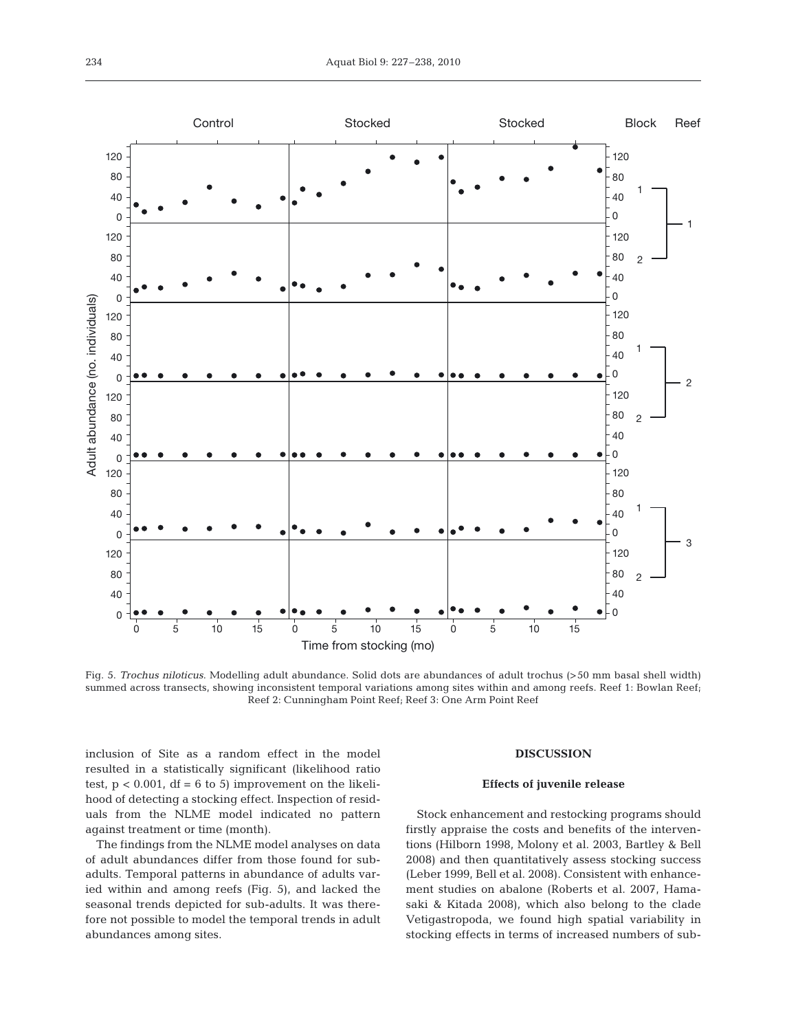

Fig. 5. *Trochus niloticus*. Modelling adult abundance. Solid dots are abundances of adult trochus (>50 mm basal shell width) summed across transects, showing inconsistent temporal variations among sites within and among reefs. Reef 1: Bowlan Reef; Reef 2: Cunningham Point Reef; Reef 3: One Arm Point Reef

inclusion of Site as a random effect in the model resulted in a statistically significant (likelihood ratio test,  $p < 0.001$ , df = 6 to 5) improvement on the likelihood of detecting a stocking effect. Inspection of residuals from the NLME model indicated no pattern against treatment or time (month).

The findings from the NLME model analyses on data of adult abundances differ from those found for subadults. Temporal patterns in abundance of adults varied within and among reefs (Fig. 5), and lacked the seasonal trends depicted for sub-adults. It was therefore not possible to model the temporal trends in adult abundances among sites.

#### **DISCUSSION**

#### **Effects of juvenile release**

Stock enhancement and restocking programs should firstly appraise the costs and benefits of the interventions (Hilborn 1998, Molony et al. 2003, Bartley & Bell 2008) and then quantitatively assess stocking success (Leber 1999, Bell et al. 2008). Consistent with enhancement studies on abalone (Roberts et al. 2007, Hamasaki & Kitada 2008), which also belong to the clade Vetigastropoda, we found high spatial variability in stocking effects in terms of increased numbers of sub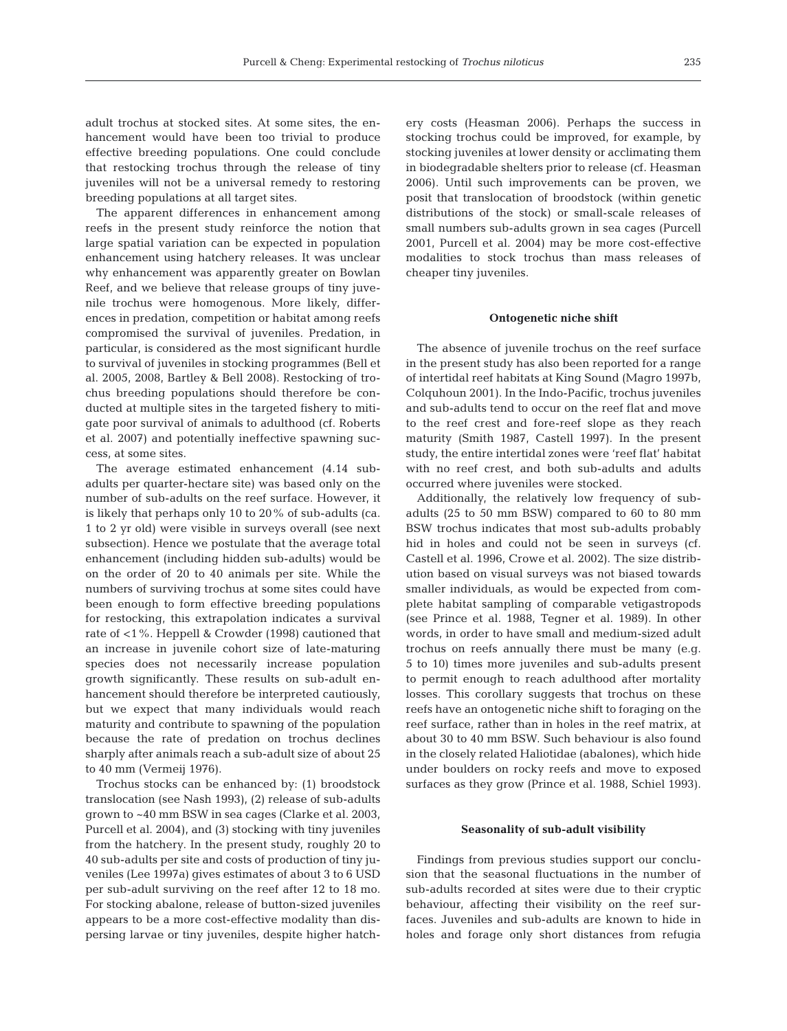adult trochus at stocked sites. At some sites, the enhancement would have been too trivial to produce effective breeding populations. One could conclude that restocking trochus through the release of tiny juveniles will not be a universal remedy to restoring breeding populations at all target sites.

The apparent differences in enhancement among reefs in the present study reinforce the notion that large spatial variation can be expected in population enhancement using hatchery releases. It was unclear why enhancement was apparently greater on Bowlan Reef, and we believe that release groups of tiny juvenile trochus were homogenous. More likely, differences in predation, competition or habitat among reefs compromised the survival of juveniles. Predation, in particular, is considered as the most significant hurdle to survival of juveniles in stocking programmes (Bell et al. 2005, 2008, Bartley & Bell 2008). Restocking of trochus breeding populations should therefore be conducted at multiple sites in the targeted fishery to mitigate poor survival of animals to adulthood (cf. Roberts et al. 2007) and potentially ineffective spawning success, at some sites.

The average estimated enhancement (4.14 subadults per quarter-hectare site) was based only on the number of sub-adults on the reef surface. However, it is likely that perhaps only 10 to 20% of sub-adults (ca. 1 to 2 yr old) were visible in surveys overall (see next subsection). Hence we postulate that the average total enhancement (including hidden sub-adults) would be on the order of 20 to 40 animals per site. While the numbers of surviving trochus at some sites could have been enough to form effective breeding populations for restocking, this extrapolation indicates a survival rate of <1%. Heppell & Crowder (1998) cautioned that an increase in juvenile cohort size of late-maturing species does not necessarily increase population growth significantly. These results on sub-adult enhancement should therefore be interpreted cautiously, but we expect that many individuals would reach maturity and contribute to spawning of the population because the rate of predation on trochus declines sharply after animals reach a sub-adult size of about 25 to 40 mm (Vermeij 1976).

Trochus stocks can be enhanced by: (1) broodstock translocation (see Nash 1993), (2) release of sub-adults grown to ~40 mm BSW in sea cages (Clarke et al. 2003, Purcell et al. 2004), and (3) stocking with tiny juveniles from the hatchery. In the present study, roughly 20 to 40 sub-adults per site and costs of production of tiny juveniles (Lee 1997a) gives estimates of about 3 to 6 USD per sub-adult surviving on the reef after 12 to 18 mo. For stocking abalone, release of button-sized juveniles appears to be a more cost-effective modality than dispersing larvae or tiny juveniles, despite higher hatchery costs (Heasman 2006). Perhaps the success in stocking trochus could be improved, for example, by stocking juveniles at lower density or acclimating them in biodegradable shelters prior to release (cf. Heasman 2006). Until such improvements can be proven, we posit that translocation of broodstock (within genetic distributions of the stock) or small-scale releases of small numbers sub-adults grown in sea cages (Purcell 2001, Purcell et al. 2004) may be more cost-effective modalities to stock trochus than mass releases of cheaper tiny juveniles.

## **Ontogenetic niche shift**

The absence of juvenile trochus on the reef surface in the present study has also been reported for a range of intertidal reef habitats at King Sound (Magro 1997b, Colquhoun 2001). In the Indo-Pacific, trochus juveniles and sub-adults tend to occur on the reef flat and move to the reef crest and fore-reef slope as they reach maturity (Smith 1987, Castell 1997). In the present study, the entire intertidal zones were 'reef flat' habitat with no reef crest, and both sub-adults and adults occurred where juveniles were stocked.

Additionally, the relatively low frequency of subadults (25 to 50 mm BSW) compared to 60 to 80 mm BSW trochus indicates that most sub-adults probably hid in holes and could not be seen in surveys (cf. Castell et al. 1996, Crowe et al. 2002). The size distribution based on visual surveys was not biased towards smaller individuals, as would be expected from complete habitat sampling of comparable vetigastropods (see Prince et al. 1988, Tegner et al. 1989). In other words, in order to have small and medium-sized adult trochus on reefs annually there must be many (e.g. 5 to 10) times more juveniles and sub-adults present to permit enough to reach adulthood after mortality losses. This corollary suggests that trochus on these reefs have an ontogenetic niche shift to foraging on the reef surface, rather than in holes in the reef matrix, at about 30 to 40 mm BSW. Such behaviour is also found in the closely related Haliotidae (abalones), which hide under boulders on rocky reefs and move to exposed surfaces as they grow (Prince et al. 1988, Schiel 1993).

## **Seasonality of sub-adult visibility**

Findings from previous studies support our conclusion that the seasonal fluctuations in the number of sub-adults recorded at sites were due to their cryptic behaviour, affecting their visibility on the reef surfaces. Juveniles and sub-adults are known to hide in holes and forage only short distances from refugia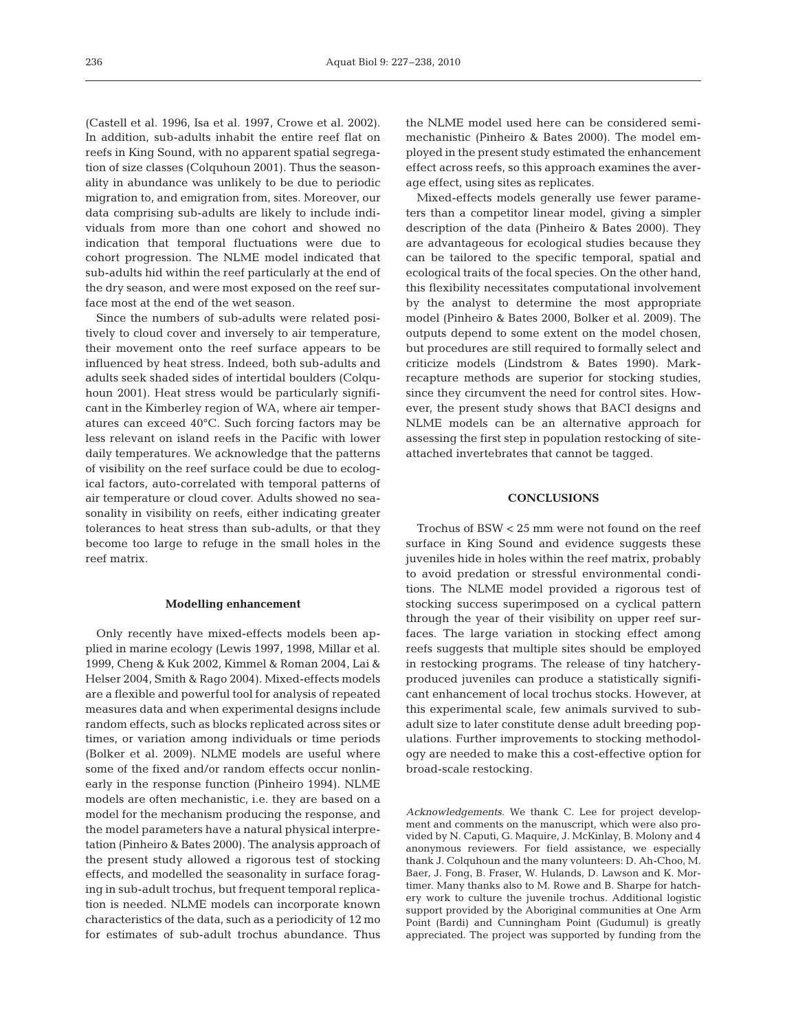(Castell et al. 1996, Isa et al. 1997, Crowe et al. 2002). In addition, sub-adults inhabit the entire reef flat on reefs in King Sound, with no apparent spatial segregation of size classes (Colquhoun 2001). Thus the seasonality in abundance was unlikely to be due to periodic migration to, and emigration from, sites. Moreover, our data comprising sub-adults are likely to include individuals from more than one cohort and showed no indication that temporal fluctuations were due to cohort progression. The NLME model indicated that sub-adults hid within the reef particularly at the end of the dry season, and were most exposed on the reef surface most at the end of the wet season.

Since the numbers of sub-adults were related positively to cloud cover and inversely to air temperature, their movement onto the reef surface appears to be influenced by heat stress. Indeed, both sub-adults and adults seek shaded sides of intertidal boulders (Colquhoun 2001). Heat stress would be particularly significant in the Kimberley region of WA, where air temperatures can exceed 40°C. Such forcing factors may be less relevant on island reefs in the Pacific with lower daily temperatures. We acknowledge that the patterns of visibility on the reef surface could be due to ecological factors, auto-correlated with temporal patterns of air temperature or cloud cover. Adults showed no seasonality in visibility on reefs, either indicating greater tolerances to heat stress than sub-adults, or that they become too large to refuge in the small holes in the reef matrix.

## **Modelling enhancement**

Only recently have mixed-effects models been applied in marine ecology (Lewis 1997, 1998, Millar et al. 1999, Cheng & Kuk 2002, Kimmel & Roman 2004, Lai & Helser 2004, Smith & Rago 2004). Mixed-effects models are a flexible and powerful tool for analysis of repeated measures data and when experimental designs include random effects, such as blocks replicated across sites or times, or variation among individuals or time periods (Bolker et al. 2009). NLME models are useful where some of the fixed and/or random effects occur nonlinearly in the response function (Pinheiro 1994). NLME models are often mechanistic, i.e. they are based on a model for the mechanism producing the response, and the model parameters have a natural physical interpretation (Pinheiro & Bates 2000). The analysis approach of the present study allowed a rigorous test of stocking effects, and modelled the seasonality in surface foraging in sub-adult trochus, but frequent temporal replication is needed. NLME models can incorporate known characteristics of the data, such as a periodicity of 12 mo for estimates of sub-adult trochus abundance. Thus

the NLME model used here can be considered semimechanistic (Pinheiro & Bates 2000). The model employed in the present study estimated the enhancement effect across reefs, so this approach examines the average effect, using sites as replicates.

Mixed-effects models generally use fewer parameters than a competitor linear model, giving a simpler description of the data (Pinheiro & Bates 2000). They are advantageous for ecological studies because they can be tailored to the specific temporal, spatial and ecological traits of the focal species. On the other hand, this flexibility necessitates computational involvement by the analyst to determine the most appropriate model (Pinheiro & Bates 2000, Bolker et al. 2009). The outputs depend to some extent on the model chosen, but procedures are still required to formally select and criticize models (Lindstrom & Bates 1990). Markrecapture methods are superior for stocking studies, since they circumvent the need for control sites. However, the present study shows that BACI designs and NLME models can be an alternative approach for assessing the first step in population restocking of siteattached invertebrates that cannot be tagged.

## **CONCLUSIONS**

Trochus of BSW < 25 mm were not found on the reef surface in King Sound and evidence suggests these juveniles hide in holes within the reef matrix, probably to avoid predation or stressful environmental conditions. The NLME model provided a rigorous test of stocking success superimposed on a cyclical pattern through the year of their visibility on upper reef surfaces. The large variation in stocking effect among reefs suggests that multiple sites should be employed in restocking programs. The release of tiny hatcheryproduced juveniles can produce a statistically significant enhancement of local trochus stocks. However, at this experimental scale, few animals survived to subadult size to later constitute dense adult breeding populations. Further improvements to stocking methodology are needed to make this a cost-effective option for broad-scale restocking.

*Acknowledgements.* We thank C. Lee for project development and comments on the manuscript, which were also provided by N. Caputi, G. Maquire, J. McKinlay, B. Molony and 4 anonymous reviewers. For field assistance, we especially thank J. Colquhoun and the many volunteers: D. Ah-Choo, M. Baer, J. Fong, B. Fraser, W. Hulands, D. Lawson and K. Mortimer. Many thanks also to M. Rowe and B. Sharpe for hatchery work to culture the juvenile trochus. Additional logistic support provided by the Aboriginal communities at One Arm Point (Bardi) and Cunningham Point (Gudumul) is greatly appreciated. The project was supported by funding from the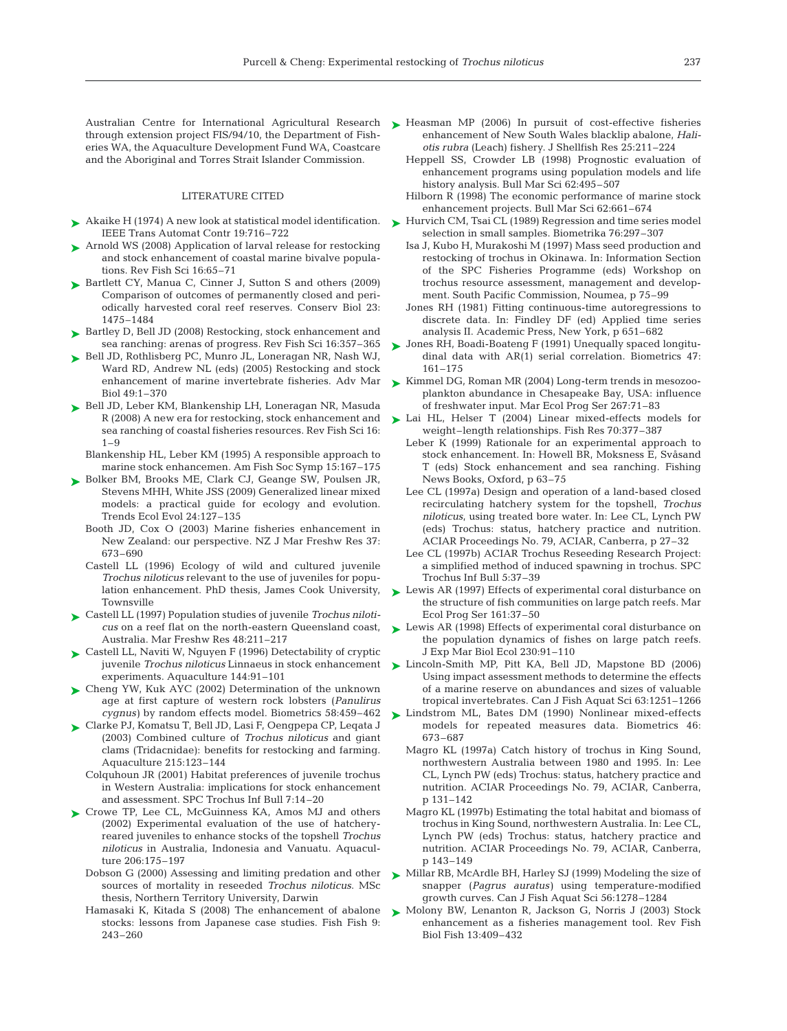Australian Centre for International Agricultural Research Heasman MP (2006) In pursuit of cost-effective fisheries ➤ through extension project FIS/94/10, the Department of Fisheries WA, the Aquaculture Development Fund WA, Coastcare and the Aboriginal and Torres Strait Islander Commission.

#### LITERATURE CITED

- ► Akaike H (1974) A new look at statistical model identification. ► Hurvich CM, Tsai CL (1989) Regression and time series model IEEE Trans Automat Contr 19:716–722
- ► Arnold WS (2008) Application of larval release for restocking and stock enhancement of coastal marine bivalve populations. Rev Fish Sci 16:65–71
- ► Bartlett CY, Manua C, Cinner J, Sutton S and others (2009) Comparison of outcomes of permanently closed and periodically harvested coral reef reserves. Conserv Biol 23: 1475–1484
- ► Bartley D, Bell JD (2008) Restocking, stock enhancement and sea ranching: arenas of progress. Rev Fish Sci 16:357–365
- ► Bell JD, Rothlisberg PC, Munro JL, Loneragan NR, Nash WJ, Ward RD, Andrew NL (eds) (2005) Restocking and stock enhancement of marine invertebrate fisheries. Adv Mar Biol 49:1–370
- ► Bell JD, Leber KM, Blankenship LH, Loneragan NR, Masuda R (2008) A new era for restocking, stock enhancement and sea ranching of coastal fisheries resources. Rev Fish Sci 16:  $1 - 9$ 
	- Blankenship HL, Leber KM (1995) A responsible approach to marine stock enhancemen. Am Fish Soc Symp 15:167–175
- ► Bolker BM, Brooks ME, Clark CJ, Geange SW, Poulsen JR, Stevens MHH, White JSS (2009) Generalized linear mixed models: a practical guide for ecology and evolution. Trends Ecol Evol 24:127–135
	- Booth JD, Cox O (2003) Marine fisheries enhancement in New Zealand: our perspective. NZ J Mar Freshw Res 37: 673–690
	- Castell LL (1996) Ecology of wild and cultured juvenile *Trochus niloticus* relevant to the use of juveniles for population enhancement. PhD thesis, James Cook University, Townsville
- Castell LL (1997) Population studies of juvenile *Trochus niloti-*➤ *cus* on a reef flat on the north-eastern Queensland coast, Australia. Mar Freshw Res 48:211–217
- ► Castell LL, Naviti W, Nguyen F (1996) Detectability of cryptic juvenile *Trochus niloticus* Linnaeus in stock enhancement experiments. Aquaculture 144:91–101
- ► Cheng YW, Kuk AYC (2002) Determination of the unknown age at first capture of western rock lobsters (*Panulirus cygnus)* by random effects model. Biometrics 58:459–462
- Clarke PJ, Komatsu T, Bell JD, Lasi F, Oengpepa CP, Leqata J ➤ (2003) Combined culture of *Trochus niloticus* and giant clams (Tridacnidae): benefits for restocking and farming. Aquaculture 215:123–144
	- Colquhoun JR (2001) Habitat preferences of juvenile trochus in Western Australia: implications for stock enhancement and assessment. SPC Trochus Inf Bull 7:14–20
- ▶ Crowe TP, Lee CL, McGuinness KA, Amos MJ and others (2002) Experimental evaluation of the use of hatcheryreared juveniles to enhance stocks of the topshell *Trochus niloticus* in Australia, Indonesia and Vanuatu. Aquaculture 206:175–197
	- Dobson G (2000) Assessing and limiting predation and other sources of mortality in reseeded *Trochus niloticus*. MSc thesis, Northern Territory University, Darwin
	- Hamasaki K, Kitada S (2008) The enhancement of abalone stocks: lessons from Japanese case studies. Fish Fish 9: 243–260
- enhancement of New South Wales blacklip abalone, *Haliotis rubra* (Leach) fishery. J Shellfish Res 25:211–224
- Heppell SS, Crowder LB (1998) Prognostic evaluation of enhancement programs using population models and life history analysis. Bull Mar Sci 62:495–507
- Hilborn R (1998) The economic performance of marine stock enhancement projects. Bull Mar Sci 62:661–674
- selection in small samples. Biometrika 76:297–307
- Isa J, Kubo H, Murakoshi M (1997) Mass seed production and restocking of trochus in Okinawa. In: Information Section of the SPC Fisheries Programme (eds) Workshop on trochus resource assessment, management and development. South Pacific Commission, Noumea, p 75–99
- Jones RH (1981) Fitting continuous-time autoregressions to discrete data. In: Findley DF (ed) Applied time series analysis II. Academic Press, New York, p 651–682
- Jones RH, Boadi-Boateng F (1991) Unequally spaced longitu-➤ dinal data with AR(1) serial correlation. Biometrics 47: 161–175
- ► Kimmel DG, Roman MR (2004) Long-term trends in mesozooplankton abundance in Chesapeake Bay, USA: influence of freshwater input. Mar Ecol Prog Ser 267:71–83
- ► Lai HL, Helser T (2004) Linear mixed-effects models for weight–length relationships. Fish Res 70:377–387
	- Leber K (1999) Rationale for an experimental approach to stock enhancement. In: Howell BR, Moksness E, Svåsand T (eds) Stock enhancement and sea ranching. Fishing News Books, Oxford, p 63–75
	- Lee CL (1997a) Design and operation of a land-based closed recirculating hatchery system for the topshell, *Trochus niloticus*, using treated bore water. In: Lee CL, Lynch PW (eds) Trochus: status, hatchery practice and nutrition. ACIAR Proceedings No. 79, ACIAR, Canberra, p 27–32
	- Lee CL (1997b) ACIAR Trochus Reseeding Research Project: a simplified method of induced spawning in trochus. SPC Trochus Inf Bull 5:37–39
- Lewis AR (1997) Effects of experimental coral disturbance on the structure of fish communities on large patch reefs. Mar Ecol Prog Ser 161:37–50 ➤
- ► Lewis AR (1998) Effects of experimental coral disturbance on the population dynamics of fishes on large patch reefs. J Exp Mar Biol Ecol 230:91–110
- ► Lincoln-Smith MP, Pitt KA, Bell JD, Mapstone BD (2006) Using impact assessment methods to determine the effects of a marine reserve on abundances and sizes of valuable tropical invertebrates. Can J Fish Aquat Sci 63:1251–1266
- ► Lindstrom ML, Bates DM (1990) Nonlinear mixed-effects models for repeated measures data. Biometrics 46: 673–687
	- Magro KL (1997a) Catch history of trochus in King Sound, northwestern Australia between 1980 and 1995. In: Lee CL, Lynch PW (eds) Trochus: status, hatchery practice and nutrition. ACIAR Proceedings No. 79, ACIAR, Canberra, p 131–142
	- Magro KL (1997b) Estimating the total habitat and biomass of trochus in King Sound, northwestern Australia. In: Lee CL, Lynch PW (eds) Trochus: status, hatchery practice and nutrition. ACIAR Proceedings No. 79, ACIAR, Canberra, p 143–149
- ► Millar RB, McArdle BH, Harley SJ (1999) Modeling the size of snapper (*Pagrus auratus)* using temperature-modified growth curves. Can J Fish Aquat Sci 56:1278–1284
- ► Molony BW, Lenanton R, Jackson G, Norris J (2003) Stock enhancement as a fisheries management tool. Rev Fish Biol Fish 13:409–432